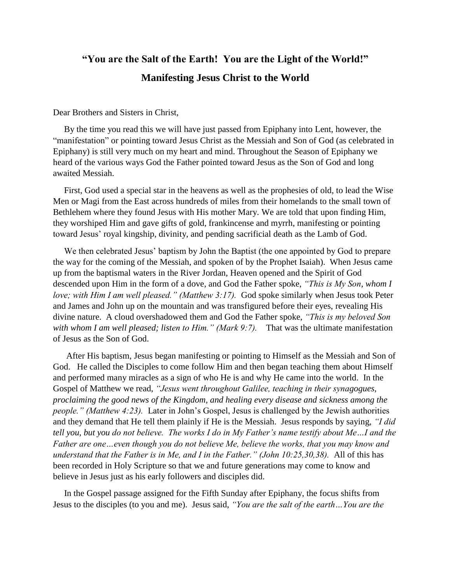## **"You are the Salt of the Earth! You are the Light of the World!" Manifesting Jesus Christ to the World**

Dear Brothers and Sisters in Christ,

 By the time you read this we will have just passed from Epiphany into Lent, however, the "manifestation" or pointing toward Jesus Christ as the Messiah and Son of God (as celebrated in Epiphany) is still very much on my heart and mind. Throughout the Season of Epiphany we heard of the various ways God the Father pointed toward Jesus as the Son of God and long awaited Messiah.

 First, God used a special star in the heavens as well as the prophesies of old, to lead the Wise Men or Magi from the East across hundreds of miles from their homelands to the small town of Bethlehem where they found Jesus with His mother Mary. We are told that upon finding Him, they worshiped Him and gave gifts of gold, frankincense and myrrh, manifesting or pointing toward Jesus' royal kingship, divinity, and pending sacrificial death as the Lamb of God.

 We then celebrated Jesus' baptism by John the Baptist (the one appointed by God to prepare the way for the coming of the Messiah, and spoken of by the Prophet Isaiah). When Jesus came up from the baptismal waters in the River Jordan, Heaven opened and the Spirit of God descended upon Him in the form of a dove, and God the Father spoke, *"This is My Son, whom I love; with Him I am well pleased." (Matthew 3:17).* God spoke similarly when Jesus took Peter and James and John up on the mountain and was transfigured before their eyes, revealing His divine nature. A cloud overshadowed them and God the Father spoke, *"This is my beloved Son with whom I am well pleased; listen to Him." (Mark 9:7).* That was the ultimate manifestation of Jesus as the Son of God.

 After His baptism, Jesus began manifesting or pointing to Himself as the Messiah and Son of God. He called the Disciples to come follow Him and then began teaching them about Himself and performed many miracles as a sign of who He is and why He came into the world. In the Gospel of Matthew we read, *"Jesus went throughout Galilee, teaching in their synagogues, proclaiming the good news of the Kingdom, and healing every disease and sickness among the people." (Matthew 4:23).* Later in John's Gospel, Jesus is challenged by the Jewish authorities and they demand that He tell them plainly if He is the Messiah. Jesus responds by saying, *"I did tell you, but you do not believe. The works I do in My Father's name testify about Me…I and the Father are one…even though you do not believe Me, believe the works, that you may know and understand that the Father is in Me, and I in the Father." (John 10:25,30,38).* All of this has been recorded in Holy Scripture so that we and future generations may come to know and believe in Jesus just as his early followers and disciples did.

 In the Gospel passage assigned for the Fifth Sunday after Epiphany, the focus shifts from Jesus to the disciples (to you and me). Jesus said, *"You are the salt of the earth…You are the*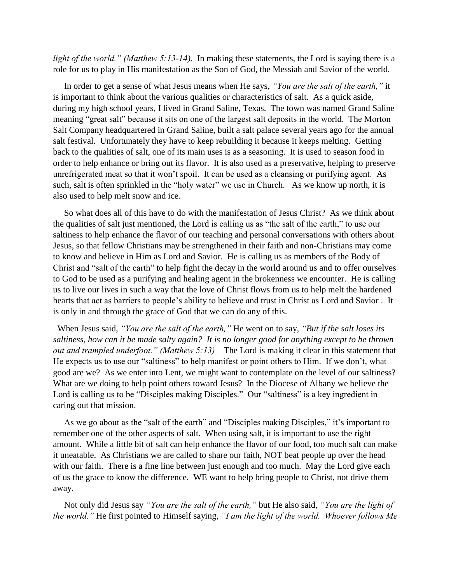*light of the world." (Matthew 5:13-14).* In making these statements, the Lord is saying there is a role for us to play in His manifestation as the Son of God, the Messiah and Savior of the world.

 In order to get a sense of what Jesus means when He says, *"You are the salt of the earth,"* it is important to think about the various qualities or characteristics of salt. As a quick aside, during my high school years, I lived in Grand Saline, Texas. The town was named Grand Saline meaning "great salt" because it sits on one of the largest salt deposits in the world. The Morton Salt Company headquartered in Grand Saline, built a salt palace several years ago for the annual salt festival. Unfortunately they have to keep rebuilding it because it keeps melting. Getting back to the qualities of salt, one of its main uses is as a seasoning. It is used to season food in order to help enhance or bring out its flavor. It is also used as a preservative, helping to preserve unrefrigerated meat so that it won't spoil. It can be used as a cleansing or purifying agent. As such, salt is often sprinkled in the "holy water" we use in Church. As we know up north, it is also used to help melt snow and ice.

 So what does all of this have to do with the manifestation of Jesus Christ? As we think about the qualities of salt just mentioned, the Lord is calling us as "the salt of the earth," to use our saltiness to help enhance the flavor of our teaching and personal conversations with others about Jesus, so that fellow Christians may be strengthened in their faith and non-Christians may come to know and believe in Him as Lord and Savior. He is calling us as members of the Body of Christ and "salt of the earth" to help fight the decay in the world around us and to offer ourselves to God to be used as a purifying and healing agent in the brokenness we encounter. He is calling us to live our lives in such a way that the love of Christ flows from us to help melt the hardened hearts that act as barriers to people's ability to believe and trust in Christ as Lord and Savior . It is only in and through the grace of God that we can do any of this.

 When Jesus said, *"You are the salt of the earth,"* He went on to say, *"But if the salt loses its saltiness, how can it be made salty again? It is no longer good for anything except to be thrown out and trampled underfoot." (Matthew 5:13)* The Lord is making it clear in this statement that He expects us to use our "saltiness" to help manifest or point others to Him. If we don't, what good are we? As we enter into Lent, we might want to contemplate on the level of our saltiness? What are we doing to help point others toward Jesus? In the Diocese of Albany we believe the Lord is calling us to be "Disciples making Disciples." Our "saltiness" is a key ingredient in caring out that mission.

 As we go about as the "salt of the earth" and "Disciples making Disciples," it's important to remember one of the other aspects of salt. When using salt, it is important to use the right amount. While a little bit of salt can help enhance the flavor of our food, too much salt can make it uneatable. As Christians we are called to share our faith, NOT beat people up over the head with our faith. There is a fine line between just enough and too much. May the Lord give each of us the grace to know the difference. WE want to help bring people to Christ, not drive them away.

 Not only did Jesus say *"You are the salt of the earth,"* but He also said, *"You are the light of the world."* He first pointed to Himself saying, *"I am the light of the world. Whoever follows Me*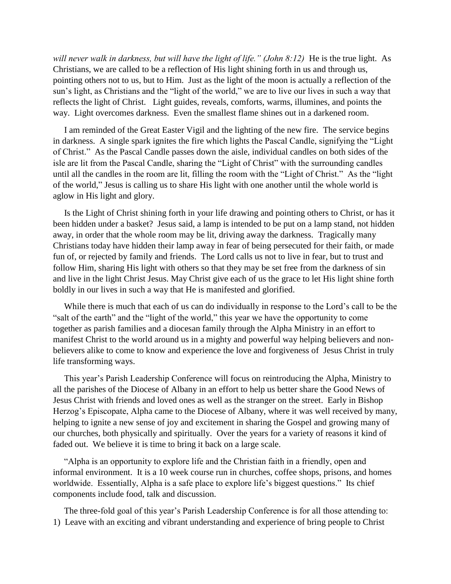*will never walk in darkness, but will have the light of life." (John 8:12)* He is the true light. As Christians, we are called to be a reflection of His light shining forth in us and through us, pointing others not to us, but to Him. Just as the light of the moon is actually a reflection of the sun's light, as Christians and the "light of the world," we are to live our lives in such a way that reflects the light of Christ. Light guides, reveals, comforts, warms, illumines, and points the way. Light overcomes darkness. Even the smallest flame shines out in a darkened room.

 I am reminded of the Great Easter Vigil and the lighting of the new fire. The service begins in darkness. A single spark ignites the fire which lights the Pascal Candle, signifying the "Light of Christ." As the Pascal Candle passes down the aisle, individual candles on both sides of the isle are lit from the Pascal Candle, sharing the "Light of Christ" with the surrounding candles until all the candles in the room are lit, filling the room with the "Light of Christ." As the "light of the world," Jesus is calling us to share His light with one another until the whole world is aglow in His light and glory.

 Is the Light of Christ shining forth in your life drawing and pointing others to Christ, or has it been hidden under a basket? Jesus said, a lamp is intended to be put on a lamp stand, not hidden away, in order that the whole room may be lit, driving away the darkness. Tragically many Christians today have hidden their lamp away in fear of being persecuted for their faith, or made fun of, or rejected by family and friends. The Lord calls us not to live in fear, but to trust and follow Him, sharing His light with others so that they may be set free from the darkness of sin and live in the light Christ Jesus. May Christ give each of us the grace to let His light shine forth boldly in our lives in such a way that He is manifested and glorified.

 While there is much that each of us can do individually in response to the Lord's call to be the "salt of the earth" and the "light of the world," this year we have the opportunity to come together as parish families and a diocesan family through the Alpha Ministry in an effort to manifest Christ to the world around us in a mighty and powerful way helping believers and nonbelievers alike to come to know and experience the love and forgiveness of Jesus Christ in truly life transforming ways.

 This year's Parish Leadership Conference will focus on reintroducing the Alpha, Ministry to all the parishes of the Diocese of Albany in an effort to help us better share the Good News of Jesus Christ with friends and loved ones as well as the stranger on the street. Early in Bishop Herzog's Episcopate, Alpha came to the Diocese of Albany, where it was well received by many, helping to ignite a new sense of joy and excitement in sharing the Gospel and growing many of our churches, both physically and spiritually. Over the years for a variety of reasons it kind of faded out. We believe it is time to bring it back on a large scale.

 "Alpha is an opportunity to explore life and the Christian faith in a friendly, open and informal environment. It is a 10 week course run in churches, coffee shops, prisons, and homes worldwide. Essentially, Alpha is a safe place to explore life's biggest questions." Its chief components include food, talk and discussion.

 The three-fold goal of this year's Parish Leadership Conference is for all those attending to: 1) Leave with an exciting and vibrant understanding and experience of bring people to Christ